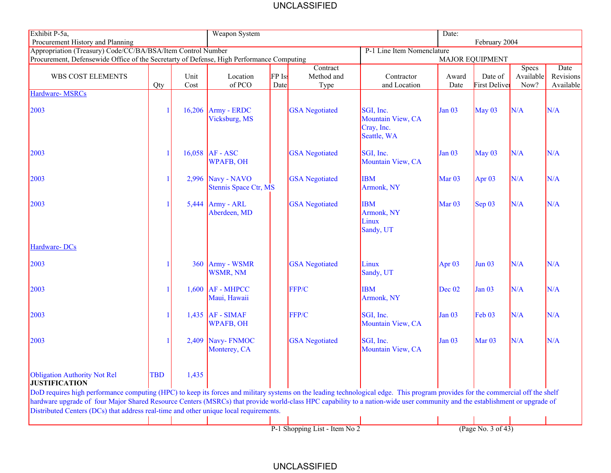## UNCLASSIFIED

| Exhibit P-5a,                                                                                                                                                                                                                                                       |                            |              | Weapon System                              |                |                                |                                                             |                        | Date:                    |                            |                                |  |
|---------------------------------------------------------------------------------------------------------------------------------------------------------------------------------------------------------------------------------------------------------------------|----------------------------|--------------|--------------------------------------------|----------------|--------------------------------|-------------------------------------------------------------|------------------------|--------------------------|----------------------------|--------------------------------|--|
| Procurement History and Planning<br>Appropriation (Treasury) Code/CC/BA/BSA/Item Control Number                                                                                                                                                                     | P-1 Line Item Nomenclature |              |                                            |                |                                | February 2004                                               |                        |                          |                            |                                |  |
| Procurement, Defensewide Office of the Secretarty of Defense, High Performance Computing                                                                                                                                                                            |                            |              |                                            |                |                                |                                                             | <b>MAJOR EQUIPMENT</b> |                          |                            |                                |  |
| WBS COST ELEMENTS                                                                                                                                                                                                                                                   | Qty                        | Unit<br>Cost | Location<br>of PCO                         | FP Iss<br>Date | Contract<br>Method and<br>Type | Contractor<br>and Location                                  | Award<br>Date          | Date of<br>First Deliver | Specs<br>Available<br>Now? | Date<br>Revisions<br>Available |  |
| <b>Hardware-MSRCs</b>                                                                                                                                                                                                                                               |                            |              |                                            |                |                                |                                                             |                        |                          |                            |                                |  |
| 2003                                                                                                                                                                                                                                                                |                            |              | $16,206$ Army - ERDC<br>Vicksburg, MS      |                | <b>GSA</b> Negotiated          | SGI, Inc.<br>Mountain View, CA<br>Cray, Inc.<br>Seattle, WA | Jan <sub>03</sub>      | May $03$                 | N/A                        | N/A                            |  |
| 2003                                                                                                                                                                                                                                                                |                            |              | $16,058$ AF - ASC<br><b>WPAFB, OH</b>      |                | <b>GSA</b> Negotiated          | SGI, Inc.<br>Mountain View, CA                              | <b>Jan 03</b>          | May $03$                 | N/A                        | N/A                            |  |
| 2003                                                                                                                                                                                                                                                                |                            |              | 2,996 Navy - NAVO<br>Stennis Space Ctr, MS |                | <b>GSA</b> Negotiated          | <b>IBM</b><br>Armonk, NY                                    | Mar $03$               | Apr $03$                 | N/A                        | N/A                            |  |
| 2003                                                                                                                                                                                                                                                                |                            |              | $5,444$ Army - ARL<br>Aberdeen, MD         |                | <b>GSA</b> Negotiated          | <b>IBM</b><br>Armonk, NY<br>Linux<br>Sandy, UT              | Mar $03$               | $\text{Sep } 03$         | N/A                        | N/A                            |  |
| Hardware-DCs                                                                                                                                                                                                                                                        |                            |              |                                            |                |                                |                                                             |                        |                          |                            |                                |  |
| 2003                                                                                                                                                                                                                                                                |                            |              | 360 Army - WSMR<br>WSMR, NM                |                | <b>GSA</b> Negotiated          | Linux<br>Sandy, UT                                          | Apr $03$               | <b>Jun 03</b>            | N/A                        | N/A                            |  |
| 2003                                                                                                                                                                                                                                                                |                            |              | $1,600$ AF - MHPCC<br>Maui, Hawaii         |                | FFP/C                          | <b>IBM</b><br>Armonk, NY                                    | Dec 02                 | <b>Jan 03</b>            | N/A                        | N/A                            |  |
| 2003                                                                                                                                                                                                                                                                |                            |              | $1,435$ AF - SIMAF<br><b>WPAFB, OH</b>     |                | FFP/C                          | SGI, Inc.<br>Mountain View, CA                              | <b>Jan 03</b>          | Feb 03                   | N/A                        | N/A                            |  |
| 2003                                                                                                                                                                                                                                                                |                            | 2,409        | Navy-FNMOC<br>Monterey, CA                 |                | <b>GSA</b> Negotiated          | SGI, Inc.<br>Mountain View, CA                              | <b>Jan 03</b>          | Mar $03$                 | N/A                        | N/A                            |  |
| Obligation Authority Not Rel<br><b>JUSTIFICATION</b><br>DoD requires high performance computing (HPC) to keep its forces and military systems on the leading technological edge. This program provides for the commercial off the shelf                             | <b>TBD</b>                 | 1,435        |                                            |                |                                |                                                             |                        |                          |                            |                                |  |
| hardware upgrade of four Major Shared Resource Centers (MSRCs) that provide world-class HPC capability to a nation-wide user community and the establishment or upgrade of<br>Distributed Centers (DCs) that address real-time and other unique local requirements. |                            |              |                                            |                |                                |                                                             |                        |                          |                            |                                |  |
|                                                                                                                                                                                                                                                                     |                            |              |                                            |                | P-1 Shopping List - Item No 2  |                                                             |                        | (Page No. 3 of 43)       |                            |                                |  |

## UNCLASSIFIED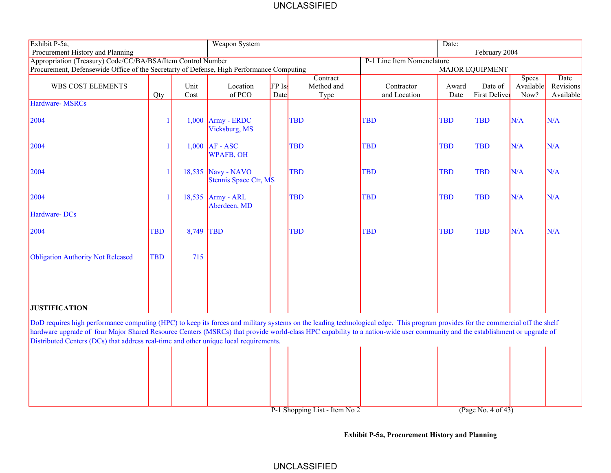## UNCLASSIFIED

| Exhibit P-5a,                                                                                                                                                                                                                                                                                                                                                                                                                                          |                        |       | Weapon System                               |        |                               |                            | Date:      |                      |                           |                   |  |
|--------------------------------------------------------------------------------------------------------------------------------------------------------------------------------------------------------------------------------------------------------------------------------------------------------------------------------------------------------------------------------------------------------------------------------------------------------|------------------------|-------|---------------------------------------------|--------|-------------------------------|----------------------------|------------|----------------------|---------------------------|-------------------|--|
| Procurement History and Planning                                                                                                                                                                                                                                                                                                                                                                                                                       |                        |       |                                             |        |                               | February 2004              |            |                      |                           |                   |  |
| Appropriation (Treasury) Code/CC/BA/BSA/Item Control Number                                                                                                                                                                                                                                                                                                                                                                                            |                        |       |                                             |        |                               | P-1 Line Item Nomenclature |            |                      |                           |                   |  |
| Procurement, Defensewide Office of the Secretarty of Defense, High Performance Computing                                                                                                                                                                                                                                                                                                                                                               | <b>MAJOR EQUIPMENT</b> |       |                                             |        |                               |                            |            |                      |                           |                   |  |
| WBS COST ELEMENTS                                                                                                                                                                                                                                                                                                                                                                                                                                      |                        | Unit  | Location                                    | FP Iss | Contract<br>Method and        | Contractor                 | Award      | Date of              | <b>Specs</b><br>Available | Date<br>Revisions |  |
|                                                                                                                                                                                                                                                                                                                                                                                                                                                        | Qty                    | Cost  | of PCO                                      | Date   | Type                          | and Location               | Date       | <b>First Deliver</b> | Now?                      | Available         |  |
| <b>Hardware-MSRCs</b>                                                                                                                                                                                                                                                                                                                                                                                                                                  |                        |       |                                             |        |                               |                            |            |                      |                           |                   |  |
|                                                                                                                                                                                                                                                                                                                                                                                                                                                        |                        |       |                                             |        |                               |                            |            |                      |                           |                   |  |
| 2004                                                                                                                                                                                                                                                                                                                                                                                                                                                   |                        | 1,000 | Army - ERDC<br>Vicksburg, MS                |        | <b>TBD</b>                    | <b>TBD</b>                 | <b>TBD</b> | <b>TBD</b>           | N/A                       | N/A               |  |
| 2004                                                                                                                                                                                                                                                                                                                                                                                                                                                   |                        |       | $1,000$ AF - ASC<br><b>WPAFB, OH</b>        |        | <b>TBD</b>                    | <b>TBD</b>                 | <b>TBD</b> | <b>TBD</b>           | N/A                       | N/A               |  |
| 2004                                                                                                                                                                                                                                                                                                                                                                                                                                                   |                        |       | 18,535 Navy - NAVO<br>Stennis Space Ctr, MS |        | <b>TBD</b>                    | <b>TBD</b>                 | <b>TBD</b> | <b>TBD</b>           | N/A                       | N/A               |  |
| 2004                                                                                                                                                                                                                                                                                                                                                                                                                                                   |                        |       | $18,535$ Army - ARL<br>Aberdeen, MD         |        | <b>TBD</b>                    | <b>TBD</b>                 | <b>TBD</b> | <b>TBD</b>           | N/A                       | N/A               |  |
| Hardware-DCs                                                                                                                                                                                                                                                                                                                                                                                                                                           |                        |       |                                             |        |                               |                            |            |                      |                           |                   |  |
| 2004                                                                                                                                                                                                                                                                                                                                                                                                                                                   | <b>TBD</b>             | 8,749 | <b>TBD</b>                                  |        | <b>TBD</b>                    | <b>TBD</b>                 | <b>TBD</b> | <b>TBD</b>           | N/A                       | N/A               |  |
| <b>Obligation Authority Not Released</b>                                                                                                                                                                                                                                                                                                                                                                                                               | <b>TBD</b>             | 715   |                                             |        |                               |                            |            |                      |                           |                   |  |
| <b>JUSTIFICATION</b>                                                                                                                                                                                                                                                                                                                                                                                                                                   |                        |       |                                             |        |                               |                            |            |                      |                           |                   |  |
| DoD requires high performance computing (HPC) to keep its forces and military systems on the leading technological edge. This program provides for the commercial off the shelf<br>hardware upgrade of four Major Shared Resource Centers (MSRCs) that provide world-class HPC capability to a nation-wide user community and the establishment or upgrade of<br>Distributed Centers (DCs) that address real-time and other unique local requirements. |                        |       |                                             |        |                               |                            |            |                      |                           |                   |  |
|                                                                                                                                                                                                                                                                                                                                                                                                                                                        |                        |       |                                             |        |                               |                            |            |                      |                           |                   |  |
|                                                                                                                                                                                                                                                                                                                                                                                                                                                        |                        |       |                                             |        |                               |                            |            |                      |                           |                   |  |
|                                                                                                                                                                                                                                                                                                                                                                                                                                                        |                        |       |                                             |        |                               |                            |            |                      |                           |                   |  |
|                                                                                                                                                                                                                                                                                                                                                                                                                                                        |                        |       |                                             |        |                               |                            |            |                      |                           |                   |  |
|                                                                                                                                                                                                                                                                                                                                                                                                                                                        |                        |       |                                             |        | P-1 Shopping List - Item No 2 |                            |            | (Page No. 4 of 43)   |                           |                   |  |

 **Exhibit P-5a, Procurement History and Planning**

UNCLASSIFIED